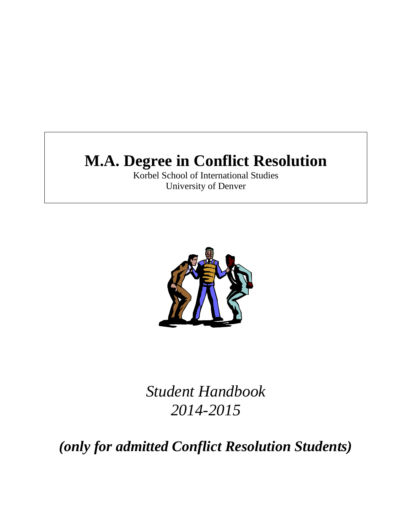# **M.A. Degree in Conflict Resolution**

Korbel School of International Studies University of Denver



*Student Handbook 2014-2015*

*(only for admitted Conflict Resolution Students)*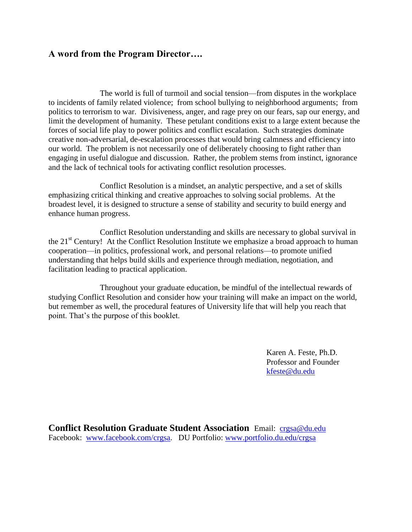# **A word from the Program Director….**

The world is full of turmoil and social tension—from disputes in the workplace to incidents of family related violence; from school bullying to neighborhood arguments; from politics to terrorism to war. Divisiveness, anger, and rage prey on our fears, sap our energy, and limit the development of humanity. These petulant conditions exist to a large extent because the forces of social life play to power politics and conflict escalation. Such strategies dominate creative non-adversarial, de-escalation processes that would bring calmness and efficiency into our world. The problem is not necessarily one of deliberately choosing to fight rather than engaging in useful dialogue and discussion. Rather, the problem stems from instinct, ignorance and the lack of technical tools for activating conflict resolution processes.

 Conflict Resolution is a mindset, an analytic perspective, and a set of skills emphasizing critical thinking and creative approaches to solving social problems. At the broadest level, it is designed to structure a sense of stability and security to build energy and enhance human progress.

 Conflict Resolution understanding and skills are necessary to global survival in the  $21<sup>st</sup>$  Century! At the Conflict Resolution Institute we emphasize a broad approach to human cooperation—in politics, professional work, and personal relations—to promote unified understanding that helps build skills and experience through mediation, negotiation, and facilitation leading to practical application.

 Throughout your graduate education, be mindful of the intellectual rewards of studying Conflict Resolution and consider how your training will make an impact on the world, but remember as well, the procedural features of University life that will help you reach that point. That's the purpose of this booklet.

> Karen A. Feste, Ph.D. Professor and Founder [kfeste@du.edu](mailto:kfeste@du.edu)

**Conflict Resolution Graduate Student Association** Email: [crgsa@du.edu](mailto:crgsa@du.edu)  Facebook: [www.facebook.com/crgsa.](http://www.facebook.com/crgsa) DU Portfolio: [www.portfolio.du.edu/crgsa](http://www.portfolio.du.edu/crgsa)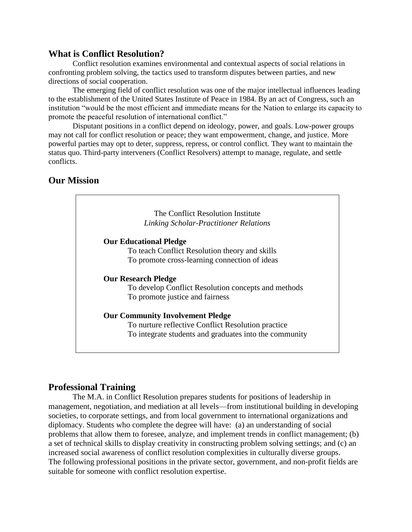## **What is Conflict Resolution?**

Conflict resolution examines environmental and contextual aspects of social relations in confronting problem solving, the tactics used to transform disputes between parties, and new directions of social cooperation.

The emerging field of conflict resolution was one of the major intellectual influences leading to the establishment of the United States Institute of Peace in 1984. By an act of Congress, such an institution "would be the most efficient and immediate means for the Nation to enlarge its capacity to promote the peaceful resolution of international conflict."

Disputant positions in a conflict depend on ideology, power, and goals. Low-power groups may not call for conflict resolution or peace; they want empowerment, change, and justice. More powerful parties may opt to deter, suppress, repress, or control conflict. They want to maintain the status quo. Third-party interveners (Conflict Resolvers) attempt to manage, regulate, and settle conflicts.

# **Our Mission**



## **Professional Training**

The M.A. in Conflict Resolution prepares students for positions of leadership in management, negotiation, and mediation at all levels—from institutional building in developing societies, to corporate settings, and from local government to international organizations and diplomacy. Students who complete the degree will have: (a) an understanding of social problems that allow them to foresee, analyze, and implement trends in conflict management; (b) a set of technical skills to display creativity in constructing problem solving settings; and (c) an increased social awareness of conflict resolution complexities in culturally diverse groups. The following professional positions in the private sector, government, and non-profit fields are suitable for someone with conflict resolution expertise.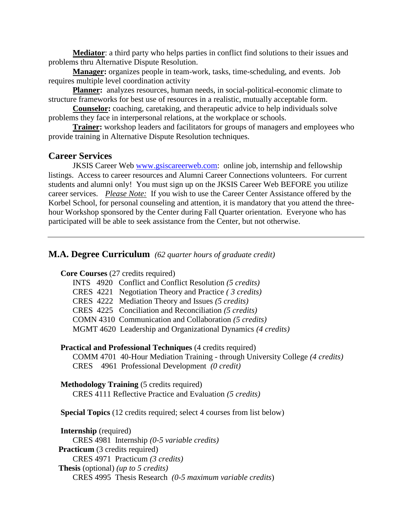**Mediator**: a third party who helps parties in conflict find solutions to their issues and problems thru Alternative Dispute Resolution.

**Manager:** organizes people in team-work, tasks, time-scheduling, and events. Job requires multiple level coordination activity

**Planner:** analyzes resources, human needs, in social-political-economic climate to structure frameworks for best use of resources in a realistic, mutually acceptable form.

**Counselor:** coaching, caretaking, and therapeutic advice to help individuals solve problems they face in interpersonal relations, at the workplace or schools.

**Trainer:** workshop leaders and facilitators for groups of managers and employees who provide training in Alternative Dispute Resolution techniques.

#### **Career Services**

JKSIS Career Web [www.gsiscareerweb.com:](http://www.gsiscareerweb.com/) online job, internship and fellowship listings. Access to career resources and Alumni Career Connections volunteers. For current students and alumni only! You must sign up on the JKSIS Career Web BEFORE you utilize career services.*Please Note:* If you wish to use the Career Center Assistance offered by the Korbel School, for personal counseling and attention, it is mandatory that you attend the threehour Workshop sponsored by the Center during Fall Quarter orientation. Everyone who has participated will be able to seek assistance from the Center, but not otherwise.

## **M.A. Degree Curriculum** *(62 quarter hours of graduate credit)*

| <b>Core Courses</b> (27 credits required) |  |  |  |
|-------------------------------------------|--|--|--|
|-------------------------------------------|--|--|--|

INTS 4920 Conflict and Conflict Resolution *(5 credits)*

CRES 4221 Negotiation Theory and Practice *( 3 credits)*

CRES 4222 Mediation Theory and Issues *(5 credits)*

CRES 4225 Conciliation and Reconciliation *(5 credits)*

COMN 4310 Communication and Collaboration *(5 credits)*

MGMT 4620 Leadership and Organizational Dynamics *(4 credits)*

**Practical and Professional Techniques** (4 credits required)

COMM 4701 40-Hour Mediation Training - through University College *(4 credits)* CRES 4961 Professional Development *(0 credit)*

## **Methodology Training** (5 credits required)

CRES 4111 Reflective Practice and Evaluation *(5 credits)*

**Special Topics** (12 credits required; select 4 courses from list below)

**Internship** (required) CRES 4981 Internship *(0-5 variable credits)* **Practicum** (3 credits required) CRES 4971 Practicum *(3 credits)* **Thesis** (optional) *(up to 5 credits)* CRES 4995 Thesis Research *(0-5 maximum variable credits*)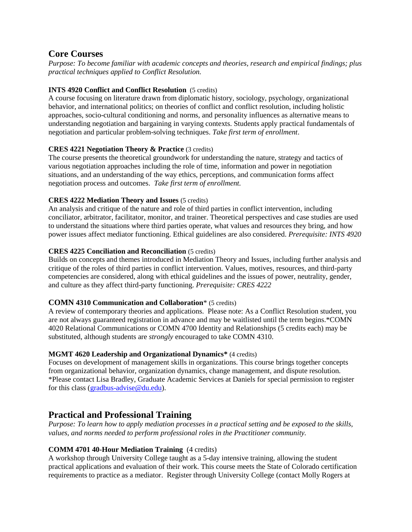## **Core Courses**

*Purpose: To become familiar with academic concepts and theories, research and empirical findings; plus practical techniques applied to Conflict Resolution.* 

## **INTS 4920 Conflict and Conflict Resolution** (5 credits)

A course focusing on literature drawn from diplomatic history, sociology, psychology, organizational behavior, and international politics; on theories of conflict and conflict resolution, including holistic approaches, socio-cultural conditioning and norms, and personality influences as alternative means to understanding negotiation and bargaining in varying contexts. Students apply practical fundamentals of negotiation and particular problem-solving techniques. *Take first term of enrollment*.

## **CRES 4221 Negotiation Theory & Practice** (3 credits)

The course presents the theoretical groundwork for understanding the nature, strategy and tactics of various negotiation approaches including the role of time, information and power in negotiation situations, and an understanding of the way ethics, perceptions, and communication forms affect negotiation process and outcomes. *Take first term of enrollment.* 

## **CRES 4222 Mediation Theory and Issues** (5 credits)

An analysis and critique of the nature and role of third parties in conflict intervention, including conciliator, arbitrator, facilitator, monitor, and trainer. Theoretical perspectives and case studies are used to understand the situations where third parties operate, what values and resources they bring, and how power issues affect mediator functioning. Ethical guidelines are also considered. *Prerequisite: INTS 4920*

## **CRES 4225 Conciliation and Reconciliation** (5 credits)

Builds on concepts and themes introduced in Mediation Theory and Issues, including further analysis and critique of the roles of third parties in conflict intervention. Values, motives, resources, and third-party competencies are considered, along with ethical guidelines and the issues of power, neutrality, gender, and culture as they affect third-party functioning. *Prerequisite: CRES 4222*

## **COMN 4310 Communication and Collaboration**\* (5 credits)

A review of contemporary theories and applications. Please note: As a Conflict Resolution student, you are not always guaranteed registration in advance and may be waitlisted until the term begins.\*COMN 4020 Relational Communications or COMN 4700 Identity and Relationships (5 credits each) may be substituted, although students are *strongly* encouraged to take COMN 4310.

## **MGMT 4620 Leadership and Organizational Dynamics\*** (4 credits)

Focuses on development of management skills in organizations. This course brings together concepts from organizational behavior, organization dynamics, change management, and dispute resolution. \*Please contact Lisa Bradley, Graduate Academic Services at Daniels for special permission to register for this class [\(gradbus-advise@du.edu\)](mailto:gradbus-advise@du.edu).

# **Practical and Professional Training**

*Purpose: To learn how to apply mediation processes in a practical setting and be exposed to the skills, values, and norms needed to perform professional roles in the Practitioner community.*

## **COMM 4701 40-Hour Mediation Training** (4 credits)

A workshop through University College taught as a 5-day intensive training, allowing the student practical applications and evaluation of their work. This course meets the State of Colorado certification requirements to practice as a mediator. Register through University College (contact Molly Rogers at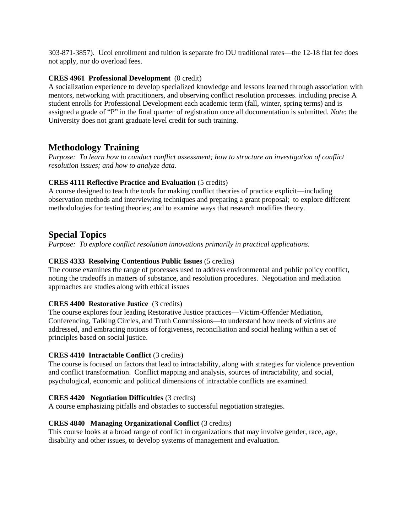303-871-3857). Ucol enrollment and tuition is separate fro DU traditional rates—the 12-18 flat fee does not apply, nor do overload fees.

#### **CRES 4961 Professional Development** (0 credit)

A socialization experience to develop specialized knowledge and lessons learned through association with mentors, networking with practitioners, and observing conflict resolution processes. including precise A student enrolls for Professional Development each academic term (fall, winter, spring terms) and is assigned a grade of "P" in the final quarter of registration once all documentation is submitted. *Note*: the University does not grant graduate level credit for such training.

# **Methodology Training**

*Purpose: To learn how to conduct conflict assessment; how to structure an investigation of conflict resolution issues; and how to analyze data.* 

## **CRES 4111 Reflective Practice and Evaluation** (5 credits)

A course designed to teach the tools for making conflict theories of practice explicit—including observation methods and interviewing techniques and preparing a grant proposal; to explore different methodologies for testing theories; and to examine ways that research modifies theory.

## **Special Topics**

*Purpose: To explore conflict resolution innovations primarily in practical applications.*

## **CRES 4333 Resolving Contentious Public Issues** (5 credits)

The course examines the range of processes used to address environmental and public policy conflict, noting the tradeoffs in matters of substance, and resolution procedures. Negotiation and mediation approaches are studies along with ethical issues

## **CRES 4400 Restorative Justice** (3 credits)

The course explores four leading Restorative Justice practices—Victim-Offender Mediation, Conferencing, Talking Circles, and Truth Commissions—to understand how needs of victims are addressed, and embracing notions of forgiveness, reconciliation and social healing within a set of principles based on social justice.

## **CRES 4410 Intractable Conflict** (3 credits)

The course is focused on factors that lead to intractability, along with strategies for violence prevention and conflict transformation. Conflict mapping and analysis, sources of intractability, and social, psychological, economic and political dimensions of intractable conflicts are examined.

## **CRES 4420 Negotiation Difficulties** (3 credits)

A course emphasizing pitfalls and obstacles to successful negotiation strategies.

## **CRES 4840 Managing Organizational Conflict** (3 credits)

This course looks at a broad range of conflict in organizations that may involve gender, race, age, disability and other issues, to develop systems of management and evaluation.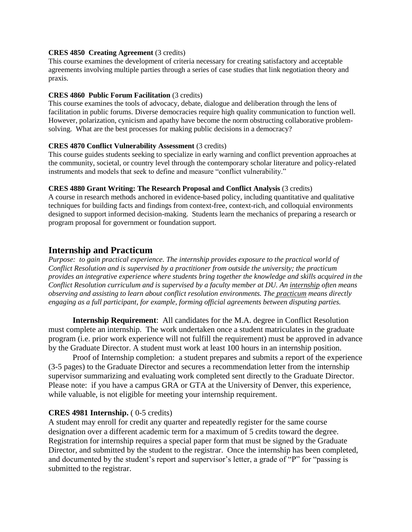#### **CRES 4850 Creating Agreement** (3 credits)

This course examines the development of criteria necessary for creating satisfactory and acceptable agreements involving multiple parties through a series of case studies that link negotiation theory and praxis.

#### **CRES 4860 Public Forum Facilitation** (3 credits)

This course examines the tools of advocacy, debate, dialogue and deliberation through the lens of facilitation in public forums. Diverse democracies require high quality communication to function well. However, polarization, cynicism and apathy have become the norm obstructing collaborative problemsolving. What are the best processes for making public decisions in a democracy?

#### **CRES 4870 Conflict Vulnerability Assessment** (3 credits)

This course guides students seeking to specialize in early warning and conflict prevention approaches at the community, societal, or country level through the contemporary scholar literature and policy-related instruments and models that seek to define and measure "conflict vulnerability."

#### **CRES 4880 Grant Writing: The Research Proposal and Conflict Analysis** (3 credits)

A course in research methods anchored in evidence-based policy, including quantitative and qualitative techniques for building facts and findings from context-free, context-rich, and colloquial environments designed to support informed decision-making. Students learn the mechanics of preparing a research or program proposal for government or foundation support.

## **Internship and Practicum**

*Purpose: to gain practical experience. The internship provides exposure to the practical world of Conflict Resolution and is supervised by a practitioner from outside the university; the practicum provides an integrative experience where students bring together the knowledge and skills acquired in the Conflict Resolution curriculum and is supervised by a faculty member at DU. An internship often means observing and assisting to learn about conflict resolution environments. The practicum means directly engaging as a full participant, for example, forming official agreements between disputing parties.*

**Internship Requirement**: All candidates for the M.A. degree in Conflict Resolution must complete an internship. The work undertaken once a student matriculates in the graduate program (i.e. prior work experience will not fulfill the requirement) must be approved in advance by the Graduate Director. A student must work at least 100 hours in an internship position.

Proof of Internship completion: a student prepares and submits a report of the experience (3-5 pages) to the Graduate Director and secures a recommendation letter from the internship supervisor summarizing and evaluating work completed sent directly to the Graduate Director. Please note: if you have a campus GRA or GTA at the University of Denver, this experience, while valuable, is not eligible for meeting your internship requirement.

## **CRES 4981 Internship.** ( 0-5 credits)

A student may enroll for credit any quarter and repeatedly register for the same course designation over a different academic term for a maximum of 5 credits toward the degree. Registration for internship requires a special paper form that must be signed by the Graduate Director, and submitted by the student to the registrar. Once the internship has been completed, and documented by the student's report and supervisor's letter, a grade of "P" for "passing is submitted to the registrar.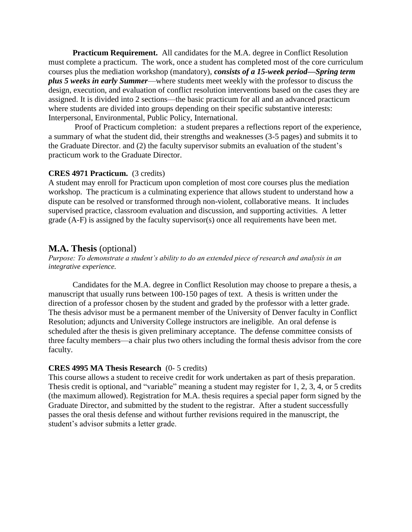**Practicum Requirement.** All candidates for the M.A. degree in Conflict Resolution must complete a practicum. The work, once a student has completed most of the core curriculum courses plus the mediation workshop (mandatory), *consists of a 15-week period—Spring term plus 5 weeks in early Summer*—where students meet weekly with the professor to discuss the design, execution, and evaluation of conflict resolution interventions based on the cases they are assigned. It is divided into 2 sections—the basic practicum for all and an advanced practicum where students are divided into groups depending on their specific substantive interests: Interpersonal, Environmental, Public Policy, International.

Proof of Practicum completion: a student prepares a reflections report of the experience, a summary of what the student did, their strengths and weaknesses (3-5 pages) and submits it to the Graduate Director. and (2) the faculty supervisor submits an evaluation of the student's practicum work to the Graduate Director.

#### **CRES 4971 Practicum.** (3 credits)

A student may enroll for Practicum upon completion of most core courses plus the mediation workshop. The practicum is a culminating experience that allows student to understand how a dispute can be resolved or transformed through non-violent, collaborative means. It includes supervised practice, classroom evaluation and discussion, and supporting activities. A letter grade (A-F) is assigned by the faculty supervisor(s) once all requirements have been met.

## **M.A. Thesis** (optional)

*Purpose: To demonstrate a student's ability to do an extended piece of research and analysis in an integrative experience.*

Candidates for the M.A. degree in Conflict Resolution may choose to prepare a thesis, a manuscript that usually runs between 100-150 pages of text. A thesis is written under the direction of a professor chosen by the student and graded by the professor with a letter grade. The thesis advisor must be a permanent member of the University of Denver faculty in Conflict Resolution; adjuncts and University College instructors are ineligible. An oral defense is scheduled after the thesis is given preliminary acceptance. The defense committee consists of three faculty members—a chair plus two others including the formal thesis advisor from the core faculty.

#### **CRES 4995 MA Thesis Research** (0- 5 credits)

This course allows a student to receive credit for work undertaken as part of thesis preparation. Thesis credit is optional, and "variable" meaning a student may register for 1, 2, 3, 4, or 5 credits (the maximum allowed). Registration for M.A. thesis requires a special paper form signed by the Graduate Director, and submitted by the student to the registrar. After a student successfully passes the oral thesis defense and without further revisions required in the manuscript, the student's advisor submits a letter grade.